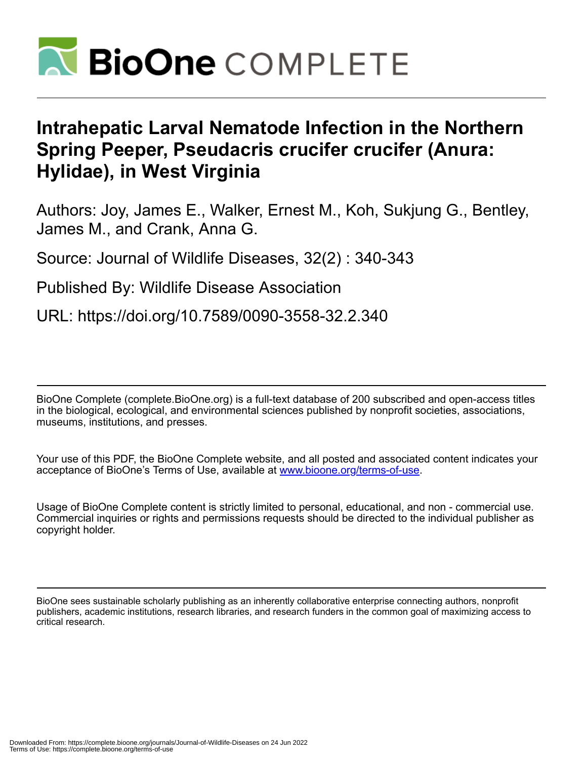

## **Intrahepatic Larval Nematode Infection in the Northern Spring Peeper, Pseudacris crucifer crucifer (Anura: Hylidae), in West Virginia**

Authors: Joy, James E., Walker, Ernest M., Koh, Sukjung G., Bentley, James M., and Crank, Anna G.

Source: Journal of Wildlife Diseases, 32(2) : 340-343

Published By: Wildlife Disease Association

URL: https://doi.org/10.7589/0090-3558-32.2.340

BioOne Complete (complete.BioOne.org) is a full-text database of 200 subscribed and open-access titles in the biological, ecological, and environmental sciences published by nonprofit societies, associations, museums, institutions, and presses.

Your use of this PDF, the BioOne Complete website, and all posted and associated content indicates your acceptance of BioOne's Terms of Use, available at www.bioone.org/terms-of-use.

Usage of BioOne Complete content is strictly limited to personal, educational, and non - commercial use. Commercial inquiries or rights and permissions requests should be directed to the individual publisher as copyright holder.

BioOne sees sustainable scholarly publishing as an inherently collaborative enterprise connecting authors, nonprofit publishers, academic institutions, research libraries, and research funders in the common goal of maximizing access to critical research.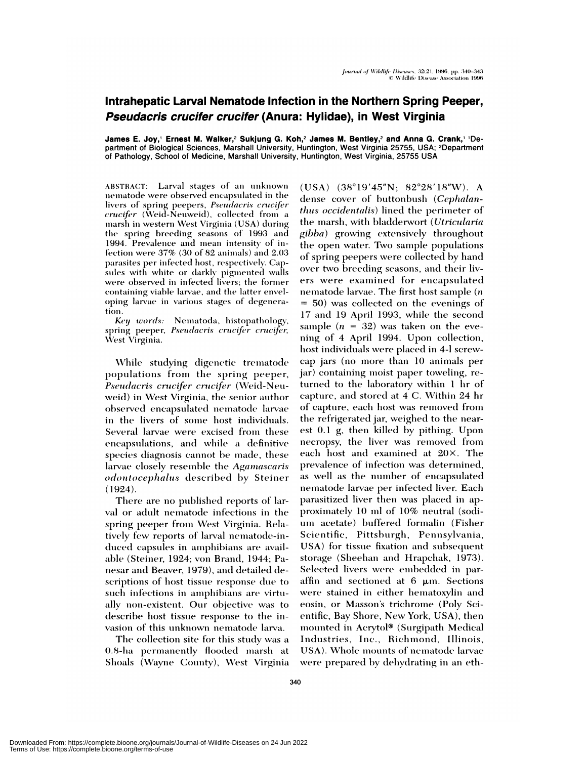## Intrahepatic Larval Nematode Infection in the Northern Spring Peeper, Pseudacris crucifer crucifer (Anura: Hylidae), in West Virginia

James E. Joy,' Ernest M. Walker,<sup>2</sup> Sukjung G. Koh,<sup>2</sup> James M. Bentley,<sup>2</sup> and Anna G. Crank,<sup>1</sup> 'Department of Biological Sciences, Marshall University, Huntington, West Virginia 25755, USA; <sup>2</sup>Department of Pathology, School of Medicine, Marshall University, Huntington, West Virginia, 25755 USA

ABSTRACT: Larval stages of an unknown nematode were observed encapsulated in the livers of spring peepers, Pseudacris crucifer *crucifer* (Weid-Neuweid), collected from a marsh in western West Virginia (USA) during the spring breeding seasons of 1993 and 1994. Prevalence and mean intensity of infection were 37% (30 of 82 animals) and 2.03 parasites per infected host, respectively. Capsules with white or darkly pigmented walls were observed in infected livers; the former containing viable larvae, and the latter enveloping larvae in various stages of degeneration.

Key words: Nematoda, histopathology, spring peeper, Pseudacris crucifer crucifer, West Virginia.

While studying digenetic trematode populations from the spring peeper, Pseudacris crucifer crucifer (Weid-Neuweid) in West Virginia, the senior author observed encapsulated nematode larvae in the livers of some host individuals. Several larvae were excised from these encapsulations, and while a definitive species diagnosis cannot be made, these larvae closely resemble the Agamascaris *odontocephalus* described by Steiner  $(1924).$ 

There are no published reports of larval or adult nematode infections in the spring peeper from West Virginia. Relatively few reports of larval nematode-induced capsules in amphibians are available (Steiner, 1924; von Brand, 1944; Panesar and Beaver, 1979), and detailed descriptions of host tissue response due to such infections in amphibians are virtually non-existent. Our objective was to describe host tissue response to the invasion of this unknown nematode larva.

The collection site for this study was a 0.8-ha permanently flooded marsh at Shoals (Wayne County), West Virginia  $(USA)$   $(38°19'45"N; 82°28'18"W)$ . A dense cover of buttonbush (Cephalanthus occidentalis) lined the perimeter of the marsh, with bladderwort (Utricularia gibba) growing extensively throughout the open water. Two sample populations of spring peepers were collected by hand over two breeding seasons, and their livers were examined for encapsulated nematode larvae. The first host sample  $(n)$  $= 50$ ) was collected on the evenings of 17 and 19 April 1993, while the second sample  $(n = 32)$  was taken on the evening of 4 April 1994. Upon collection, host individuals were placed in 4-l screwcap jars (no more than 10 animals per jar) containing moist paper toweling, returned to the laboratory within 1 hr of capture, and stored at 4 C. Within 24 hr of capture, each host was removed from the refrigerated jar, weighed to the nearest 0.1 g, then killed by pithing. Upon necropsy, the liver was removed from each host and examined at 20X. The prevalence of infection was determined, as well as the number of encapsulated nematode larvae per infected liver. Each parasitized liver then was placed in approximately 10 ml of 10% neutral (sodium acetate) buffered formalin (Fisher Scientific, Pittsburgh, Pennsylvania, USA) for tissue fixation and subsequent storage (Sheehan and Hrapchak, 1973). Selected livers were embedded in paraffin and sectioned at  $6 \mu m$ . Sections were stained in either hematoxylin and eosin, or Masson's trichrome (Poly Scientific, Bay Shore, New York, USA), then mounted in Acrytol® (Surgipath Medical Industries, Inc., Richmond, Illinois, USA). Whole mounts of nematode larvae were prepared by dehydrating in an eth-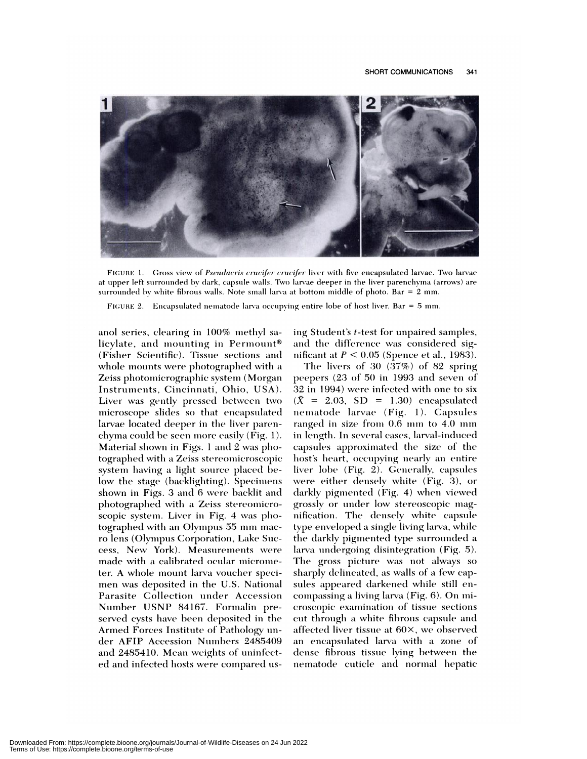

FIGURE 1. Gross view of Pseudacris crucifer crucifer liver with five encapsulated larvae. Two larvae at upper left surrounded by dark, capsule walls. Two larvae deeper in the liver parenchyma (arrows) are surrounded by white fibrous walls. Note small larva at bottom middle of photo. Bar  $= 2$  mm.

FIGURE 2. Encapsulated nematode larva occupying entire lobe of host liver. Bar = 5 mm.

anol series, clearing in 100% methyl salicylate, and mounting in Permount® (Fisher Scientific). Tissue sections and whole mounts were photographed with a Zeiss photomicrographic system (Morgan Instruments, Cincinnati, Ohio, USA). Liver was gently pressed between two microscope slides so that encapsulated larvae located deeper in the liver parenchyma could be seen more easily (Fig. 1). Material shown in Figs. 1 and 2 was photographed with a Zeiss stereomicroscopic system having a light source placed below the stage (backlighting). Specimens shown in Figs. 3 and 6 were backlit and photographed with a Zeiss stereomicroscopic system. Liver in Fig. 4 was photographed with an Olympus 55 mm macro lens (Olympus Corporation, Lake Success, New York). Measurements were made with a calibrated ocular micrometer. A whole mount larva voucher specimen was deposited in the U.S. National Parasite Collection under Accession Number USNP 84167. Formalin preserved cysts have been deposited in the Armed Forces Institute of Pathology under AFIP Accession Numbers 2485409 and 2485410. Mean weights of uninfected and infected hosts were compared using Student's t-test for unpaired samples, and the difference was considered significant at  $P < 0.05$  (Spence et al., 1983).

The livers of 30  $(37%)$  of 82 spring peepers (23 of 50 in 1993 and seven of 32 in 1994) were infected with one to six  $(\bar{X} = 2.03, SD = 1.30)$  encapsulated nematode larvae (Fig. 1). Capsules ranged in size from 0.6 mm to 4.0 mm in length. In several cases, larval-induced capsules approximated the size of the host's heart, occupying nearly an entire liver lobe (Fig. 2). Generally, capsules were either densely white (Fig. 3), or darkly pigmented (Fig. 4) when viewed grossly or under low stereoscopic magnification. The densely white capsule type enveloped a single living larva, while the darkly pigmented type surrounded a larva undergoing disintegration (Fig. 5). The gross picture was not always so sharply delineated, as walls of a few capsules appeared darkened while still encompassing a living larva (Fig. 6). On microscopic examination of tissue sections cut through a white fibrous capsule and affected liver tissue at 60×, we observed an encapsulated larva with a zone of dense fibrous tissue lying between the nematode cuticle and normal hepatic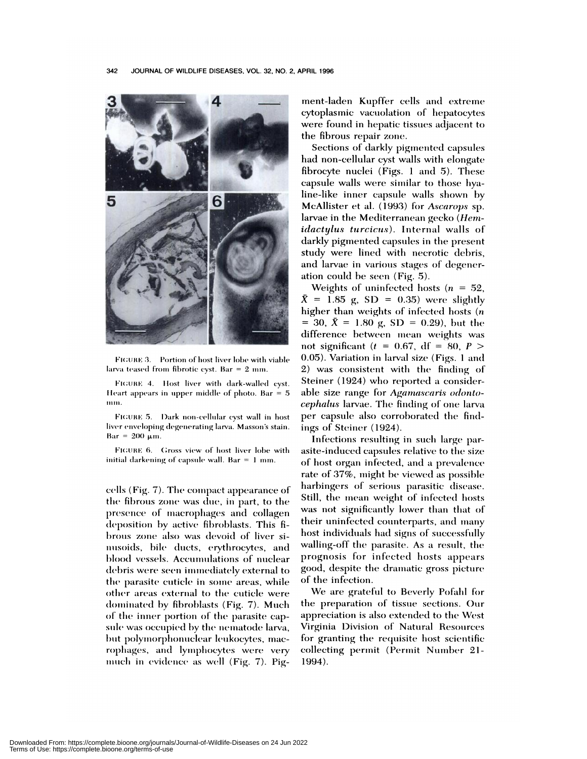

FIGURE 3. Portion of host liver lobe with viable larva teased from fibrotic cyst. Bar =  $2$  mm.

FIGURE 4. Host liver with dark-walled cyst. Heart appears in upper middle of photo. Bar  $= 5$ mm.

FIGURE 5. Dark non-cellular cyst wall in host liver enveloping degenerating larva. Masson's stain.  $Bar = 200 \mu m$ .

FIGURE 6. Gross view of host liver lobe with initial darkening of capsule wall. Bar  $= 1$  mm.

cells (Fig. 7). The compact appearance of the fibrous zone was due, in part, to the presence of macrophages and collagen deposition by active fibroblasts. This fibrous zone also was devoid of liver sinusoids, bile ducts, erythrocytes, and blood vessels. Accumulations of nuclear debris were seen immediately external to the parasite cuticle in some areas, while other areas external to the cuticle were dominated by fibroblasts (Fig. 7). Much of the inner portion of the parasite capsule was occupied by the nematode larva, but polymorphonuclear leukocytes, macrophages, and lymphocytes were very much in evidence as well (Fig. 7). Pigment-laden Kupffer cells and extreme cytoplasmic vacuolation of hepatocytes were found in hepatic tissues adjacent to the fibrous repair zone.

Sections of darkly pigmented capsules had non-cellular cyst walls with elongate fibrocyte nuclei (Figs. 1 and 5). These capsule walls were similar to those hyaline-like inner capsule walls shown by McAllister et al. (1993) for Ascarops sp. larvae in the Mediterranean gecko (Hem*idactylus turcicus*). Internal walls of darkly pigmented capsules in the present study were lined with necrotic debris, and larvae in various stages of degeneration could be seen (Fig. 5).

Weights of uninfected hosts ( $n = 52$ ,  $\bar{X}$  = 1.85 g, SD = 0.35) were slightly higher than weights of infected hosts  $(n)$ = 30,  $\bar{X}$  = 1.80 g, SD = 0.29), but the difference between mean weights was not significant ( $t = 0.67$ , df = 80,  $P >$ 0.05). Variation in larval size (Figs. 1 and 2) was consistent with the finding of Steiner (1924) who reported a considerable size range for Agamascaris odontocephalus larvae. The finding of one larva per capsule also corroborated the findings of Steiner (1924).

Infections resulting in such large parasite-induced capsules relative to the size of host organ infected, and a prevalence rate of 37%, might be viewed as possible harbingers of serious parasitic disease. Still, the mean weight of infected hosts was not significantly lower than that of their uninfected counterparts, and many host individuals had signs of successfully walling-off the parasite. As a result, the prognosis for infected hosts appears good, despite the dramatic gross picture of the infection.

We are grateful to Beverly Pofahl for the preparation of tissue sections. Our appreciation is also extended to the West Virginia Division of Natural Resources for granting the requisite host scientific collecting permit (Permit Number 21-1994).